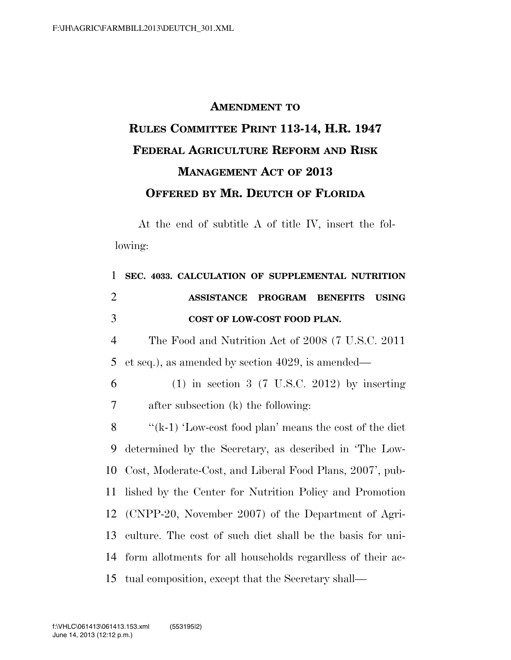## **AMENDMENT TO RULES COMMITTEE PRINT 113-14, H.R. 1947 FEDERAL AGRICULTURE REFORM AND RISK MANAGEMENT ACT OF 2013 OFFERED BY MR. DEUTCH OF FLORIDA**

At the end of subtitle A of title IV, insert the following:

| 1              | SEC. 4033. CALCULATION OF SUPPLEMENTAL NUTRITION           |
|----------------|------------------------------------------------------------|
| $\overline{2}$ | <b>ASSISTANCE PROGRAM BENEFITS</b><br><b>USING</b>         |
| 3              | COST OF LOW-COST FOOD PLAN.                                |
| $\overline{4}$ | The Food and Nutrition Act of 2008 (7 U.S.C. 2011)         |
| 5              | et seq.), as amended by section 4029, is amended—          |
| 6              | $(1)$ in section 3 (7 U.S.C. 2012) by inserting            |
| 7              | after subsection (k) the following:                        |
| 8              | " $(k-1)$ 'Low-cost food plan' means the cost of the diet  |
| 9              | determined by the Secretary, as described in 'The Low-     |
| 10             | Cost, Moderate-Cost, and Liberal Food Plans, 2007', pub-   |
| 11             | lished by the Center for Nutrition Policy and Promotion    |
|                | 12 (CNPP-20, November 2007) of the Department of Agri-     |
| 13             | culture. The cost of such diet shall be the basis for uni- |
| 14             | form allotments for all households regardless of their ac- |
|                | 15 tual composition, except that the Secretary shall—      |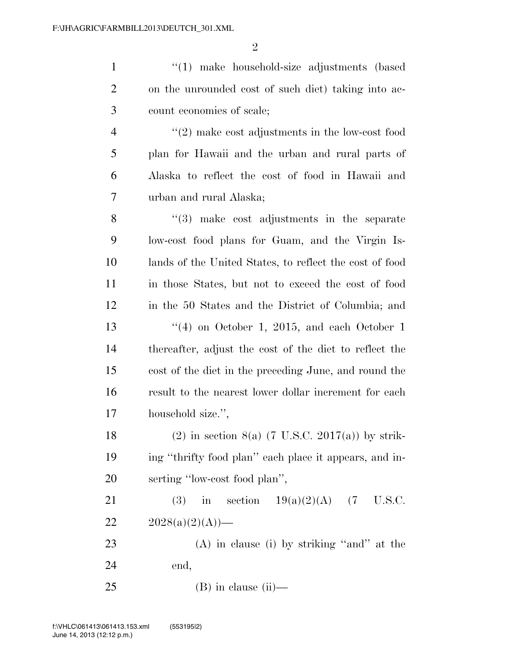1 ''(1) make household-size adjustments (based on the unrounded cost of such diet) taking into ac- count economies of scale; ''(2) make cost adjustments in the low-cost food plan for Hawaii and the urban and rural parts of Alaska to reflect the cost of food in Hawaii and urban and rural Alaska; 8 ''(3) make cost adjustments in the separate low-cost food plans for Guam, and the Virgin Is- lands of the United States, to reflect the cost of food in those States, but not to exceed the cost of food in the 50 States and the District of Columbia; and  $\frac{13}{13}$  ''(4) on October 1, 2015, and each October 1 thereafter, adjust the cost of the diet to reflect the cost of the diet in the preceding June, and round the result to the nearest lower dollar increment for each household size.'', 18 (2) in section 8(a) (7 U.S.C. 2017(a)) by strik- ing ''thrifty food plan'' each place it appears, and in- serting ''low-cost food plan'', 21 (3) in section  $19(a)(2)(A)$  (7 U.S.C.  $2028(a)(2)(A)$  (A) in clause (i) by striking ''and'' at the end, (B) in clause (ii)—